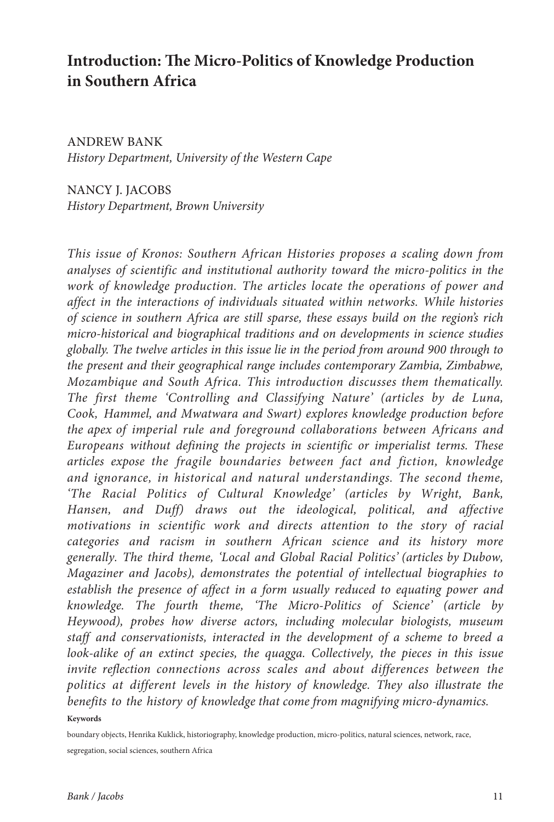# **Introduction: The Micro-Politics of Knowledge Production in Southern Africa**

ANDREW BANK *History Department, University of the Western Cape*

NANCY J. JACOBS *History Department, Brown University*

*This issue of Kronos: Southern African Histories proposes a scaling down from analyses of scientific and institutional authority toward the micro-politics in the work of knowledge production. The articles locate the operations of power and affect in the interactions of individuals situated within networks. While histories of science in southern Africa are still sparse, these essays build on the region's rich micro-historical and biographical traditions and on developments in science studies globally. The twelve articles in this issue lie in the period from around 900 through to the present and their geographical range includes contemporary Zambia, Zimbabwe, Mozambique and South Africa. This introduction discusses them thematically. The first theme 'Controlling and Classifying Nature' (articles by de Luna, Cook, Hammel, and Mwatwara and Swart) explores knowledge production before the apex of imperial rule and foreground collaborations between Africans and Europeans without defining the projects in scientific or imperialist terms. These articles expose the fragile boundaries between fact and fiction, knowledge and ignorance, in historical and natural understandings. The second theme, 'The Racial Politics of Cultural Knowledge' (articles by Wright, Bank, Hansen, and Duff) draws out the ideological, political, and affective motivations in scientific work and directs attention to the story of racial categories and racism in southern African science and its history more generally. The third theme, 'Local and Global Racial Politics' (articles by Dubow, Magaziner and Jacobs), demonstrates the potential of intellectual biographies to establish the presence of affect in a form usually reduced to equating power and knowledge. The fourth theme, 'The Micro-Politics of Science' (article by Heywood), probes how diverse actors, including molecular biologists, museum staff and conservationists, interacted in the development of a scheme to breed a*  look-alike of an extinct species, the quagga. Collectively, the pieces in this issue invite reflection connections across scales and about differences between the *politics at different levels in the history of knowledge. They also illustrate the benefits to the history of knowledge that come from magnifying micro-dynamics.* **Keywords**

boundary objects, Henrika Kuklick, historiography, knowledge production, micro-politics, natural sciences, network, race, segregation, social sciences, southern Africa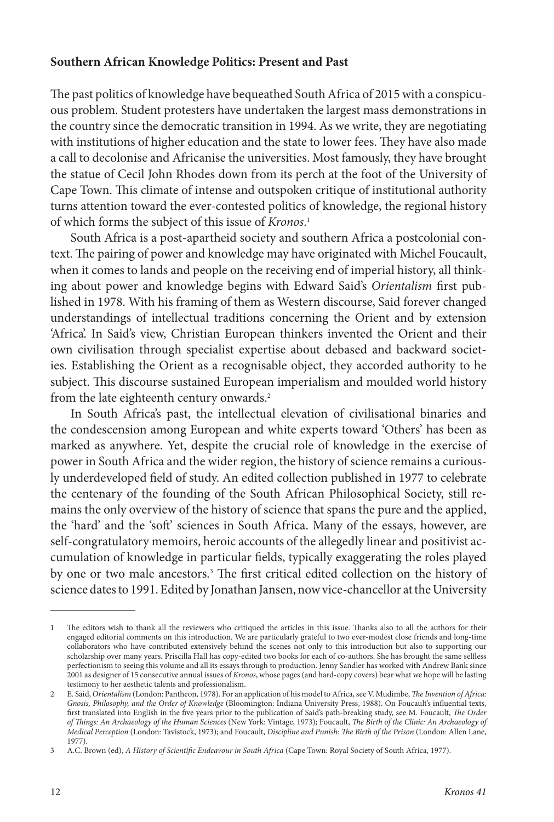### **Southern African Knowledge Politics: Present and Past**

The past politics of knowledge have bequeathed South Africa of 2015 with a conspicuous problem. Student protesters have undertaken the largest mass demonstrations in the country since the democratic transition in 1994. As we write, they are negotiating with institutions of higher education and the state to lower fees. They have also made a call to decolonise and Africanise the universities. Most famously, they have brought the statue of Cecil John Rhodes down from its perch at the foot of the University of Cape Town. This climate of intense and outspoken critique of institutional authority turns attention toward the ever-contested politics of knowledge, the regional history of which forms the subject of this issue of *Kronos*. 1

South Africa is a post-apartheid society and southern Africa a postcolonial context. The pairing of power and knowledge may have originated with Michel Foucault, when it comes to lands and people on the receiving end of imperial history, all thinking about power and knowledge begins with Edward Said's *Orientalism* first published in 1978. With his framing of them as Western discourse, Said forever changed understandings of intellectual traditions concerning the Orient and by extension 'Africa'. In Said's view, Christian European thinkers invented the Orient and their own civilisation through specialist expertise about debased and backward societies. Establishing the Orient as a recognisable object, they accorded authority to he subject. This discourse sustained European imperialism and moulded world history from the late eighteenth century onwards.<sup>2</sup>

In South Africa's past, the intellectual elevation of civilisational binaries and the condescension among European and white experts toward 'Others' has been as marked as anywhere. Yet, despite the crucial role of knowledge in the exercise of power in South Africa and the wider region, the history of science remains a curiously underdeveloped field of study. An edited collection published in 1977 to celebrate the centenary of the founding of the South African Philosophical Society, still remains the only overview of the history of science that spans the pure and the applied, the 'hard' and the 'soft' sciences in South Africa. Many of the essays, however, are self-congratulatory memoirs, heroic accounts of the allegedly linear and positivist accumulation of knowledge in particular fields, typically exaggerating the roles played by one or two male ancestors.3 The first critical edited collection on the history of science dates to 1991. Edited by Jonathan Jansen, now vice-chancellor at the University

<sup>1</sup> The editors wish to thank all the reviewers who critiqued the articles in this issue. Thanks also to all the authors for their engaged editorial comments on this introduction. We are particularly grateful to two ever-modest close friends and long-time collaborators who have contributed extensively behind the scenes not only to this introduction but also to supporting our scholarship over many years. Priscilla Hall has copy-edited two books for each of co-authors. She has brought the same selfless perfectionism to seeing this volume and all its essays through to production. Jenny Sandler has worked with Andrew Bank since 2001 as designer of 15 consecutive annual issues of *Kronos*, whose pages (and hard-copy covers) bear what we hope will be lasting testimony to her aesthetic talents and professionalism.

<sup>2</sup> E. Said, *Orientalism* (London: Pantheon, 1978). For an application of his model to Africa, see V. Mudimbe, *The Invention of Africa: Gnosis, Philosophy, and the Order of Knowledge* (Bloomington: Indiana University Press, 1988). On Foucault's influential texts, first translated into English in the five years prior to the publication of Said's path-breaking study, see M. Foucault, *The Order of Things: An Archaeology of the Human Sciences* (New York: Vintage, 1973); Foucault, *The Birth of the Clinic: An Archaeology of Medical Perception* (London: Tavistock, 1973); and Foucault, *Discipline and Punish: The Birth of the Prison* (London: Allen Lane, 1977).

<sup>3</sup> A.C. Brown (ed), *A History of Scientific Endeavour in South Africa* (Cape Town: Royal Society of South Africa, 1977).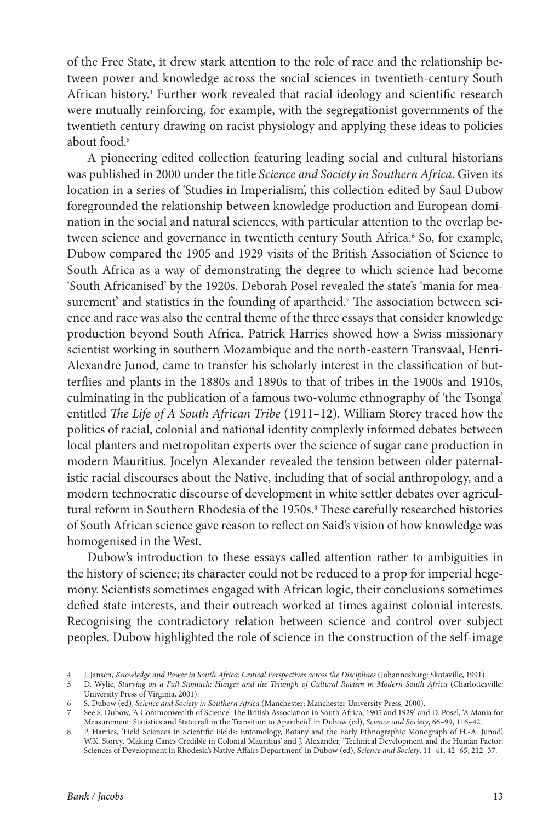of the Free State, it drew stark attention to the role of race and the relationship between power and knowledge across the social sciences in twentieth-century South African history.4 Further work revealed that racial ideology and scientific research were mutually reinforcing, for example, with the segregationist governments of the twentieth century drawing on racist physiology and applying these ideas to policies about food.<sup>5</sup>

A pioneering edited collection featuring leading social and cultural historians was published in 2000 under the title *Science and Society in Southern Africa*. Given its location in a series of 'Studies in Imperialism', this collection edited by Saul Dubow foregrounded the relationship between knowledge production and European domination in the social and natural sciences, with particular attention to the overlap between science and governance in twentieth century South Africa.6 So, for example, Dubow compared the 1905 and 1929 visits of the British Association of Science to South Africa as a way of demonstrating the degree to which science had become 'South Africanised' by the 1920s. Deborah Posel revealed the state's 'mania for measurement' and statistics in the founding of apartheid.7 The association between science and race was also the central theme of the three essays that consider knowledge production beyond South Africa. Patrick Harries showed how a Swiss missionary scientist working in southern Mozambique and the north-eastern Transvaal, Henri-Alexandre Junod, came to transfer his scholarly interest in the classification of butterflies and plants in the 1880s and 1890s to that of tribes in the 1900s and 1910s, culminating in the publication of a famous two-volume ethnography of 'the Tsonga' entitled *The Life of A South African Tribe* (1911–12). William Storey traced how the politics of racial, colonial and national identity complexly informed debates between local planters and metropolitan experts over the science of sugar cane production in modern Mauritius. Jocelyn Alexander revealed the tension between older paternalistic racial discourses about the Native, including that of social anthropology, and a modern technocratic discourse of development in white settler debates over agricultural reform in Southern Rhodesia of the 1950s.8 These carefully researched histories of South African science gave reason to reflect on Said's vision of how knowledge was homogenised in the West.

Dubow's introduction to these essays called attention rather to ambiguities in the history of science; its character could not be reduced to a prop for imperial hegemony. Scientists sometimes engaged with African logic, their conclusions sometimes defied state interests, and their outreach worked at times against colonial interests. Recognising the contradictory relation between science and control over subject peoples, Dubow highlighted the role of science in the construction of the self-image

<sup>4</sup> J. Jansen, *Knowledge and Power in South Africa: Critical Perspectives across the Disciplines* (Johannesburg: Skotaville, 1991).

<sup>5</sup> D. Wylie, *Starving on a Full Stomach: Hunger and the Triumph of Cultural Racism in Modern South Africa* (Charlottesville: University Press of Virginia, 2001).

<sup>6</sup> S. Dubow (ed), *Science and Society in Southern Africa* (Manchester: Manchester University Press, 2000).

<sup>7</sup> See S. Dubow, 'A Commonwealth of Science: The British Association in South Africa, 1905 and 1929' and D. Posel, 'A Mania for Measurement: Statistics and Statecraft in the Transition to Apartheid' in Dubow (ed), *Science and Society*, 66–99, 116–42.

<sup>8</sup> P. Harries, 'Field Sciences in Scientific Fields: Entomology, Botany and the Early Ethnographic Monograph of H.-A. Junod', W.K. Storey, 'Making Canes Credible in Colonial Mauritius' and J. Alexander, 'Technical Development and the Human Factor: Sciences of Development in Rhodesia's Native Affairs Department' in Dubow (ed), *Science and Society*, 11–41, 42–65, 212–37.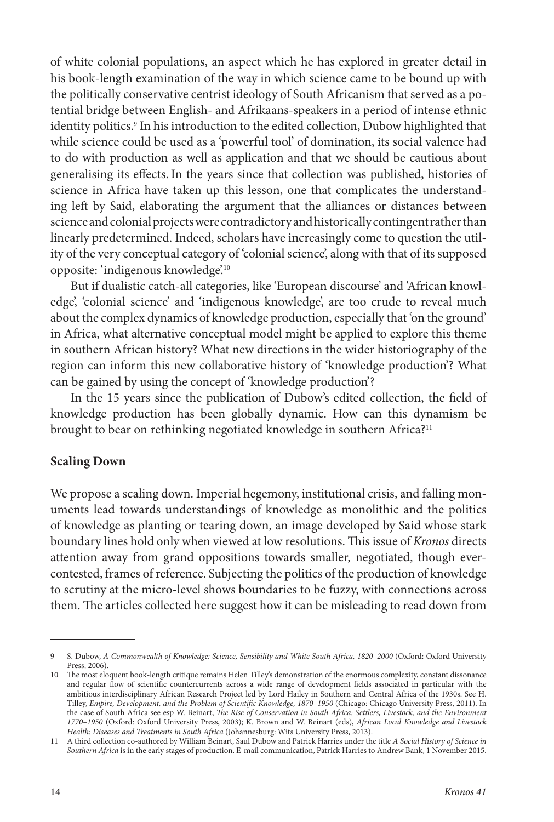of white colonial populations, an aspect which he has explored in greater detail in his book-length examination of the way in which science came to be bound up with the politically conservative centrist ideology of South Africanism that served as a potential bridge between English- and Afrikaans-speakers in a period of intense ethnic identity politics.9 In his introduction to the edited collection, Dubow highlighted that while science could be used as a 'powerful tool' of domination, its social valence had to do with production as well as application and that we should be cautious about generalising its effects.In the years since that collection was published, histories of science in Africa have taken up this lesson, one that complicates the understanding left by Said, elaborating the argument that the alliances or distances between science and colonial projects were contradictory and historically contingent rather than linearly predetermined. Indeed, scholars have increasingly come to question the utility of the very conceptual category of 'colonial science', along with that of its supposed opposite: 'indigenous knowledge'.10

But if dualistic catch-all categories, like 'European discourse' and 'African knowledge', 'colonial science' and 'indigenous knowledge', are too crude to reveal much about the complex dynamics of knowledge production, especially that 'on the ground' in Africa, what alternative conceptual model might be applied to explore this theme in southern African history? What new directions in the wider historiography of the region can inform this new collaborative history of 'knowledge production'? What can be gained by using the concept of 'knowledge production'?

In the 15 years since the publication of Dubow's edited collection, the field of knowledge production has been globally dynamic. How can this dynamism be brought to bear on rethinking negotiated knowledge in southern Africa?<sup>11</sup>

#### **Scaling Down**

We propose a scaling down. Imperial hegemony, institutional crisis, and falling monuments lead towards understandings of knowledge as monolithic and the politics of knowledge as planting or tearing down, an image developed by Said whose stark boundary lines hold only when viewed at low resolutions. This issue of *Kronos* directs attention away from grand oppositions towards smaller, negotiated, though evercontested, frames of reference. Subjecting the politics of the production of knowledge to scrutiny at the micro-level shows boundaries to be fuzzy, with connections across them. The articles collected here suggest how it can be misleading to read down from

<sup>9</sup> S. Dubow, *A Commonwealth of Knowledge: Science, Sensibility and White South Africa, 1820–2000* (Oxford: Oxford University Press, 2006).

<sup>10</sup> The most eloquent book-length critique remains Helen Tilley's demonstration of the enormous complexity, constant dissonance and regular flow of scientific countercurrents across a wide range of development fields associated in particular with the ambitious interdisciplinary African Research Project led by Lord Hailey in Southern and Central Africa of the 1930s. See H.<br>Tilley, *Empire, Development, and the Problem of Scientific Knowledge, 1870–1950* (Chicago: Chicag the case of South Africa see esp W. Beinart, *The Rise of Conservation in South Africa: Settlers, Livestock, and the Environment 1770–1950* (Oxford: Oxford University Press, 2003); K. Brown and W. Beinart (eds), *African Local Knowledge and Livestock Health: Diseases and Treatments in South Africa* (Johannesburg: Wits University Press, 2013).

<sup>11</sup> A third collection co-authored by William Beinart, Saul Dubow and Patrick Harries under the title *A Social History of Science in Southern Africa* is in the early stages of production. E-mail communication, Patrick Harries to Andrew Bank, 1 November 2015.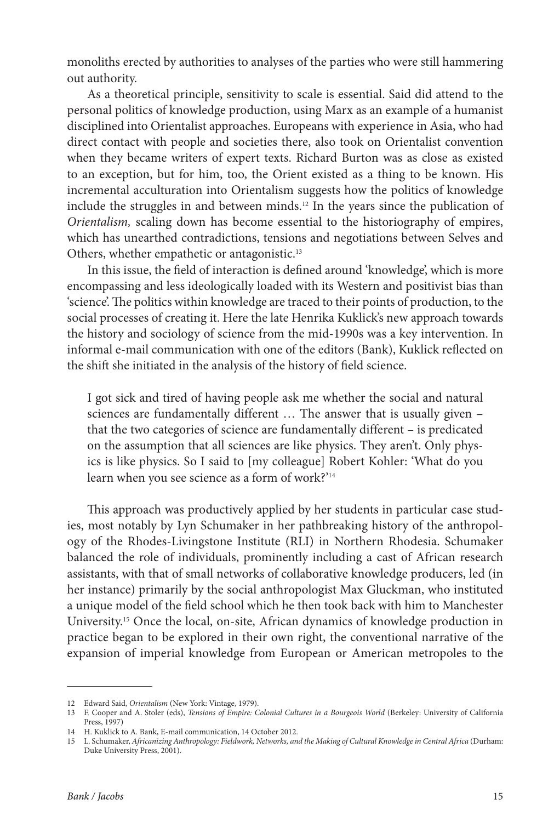monoliths erected by authorities to analyses of the parties who were still hammering out authority.

As a theoretical principle, sensitivity to scale is essential. Said did attend to the personal politics of knowledge production, using Marx as an example of a humanist disciplined into Orientalist approaches. Europeans with experience in Asia, who had direct contact with people and societies there, also took on Orientalist convention when they became writers of expert texts. Richard Burton was as close as existed to an exception, but for him, too, the Orient existed as a thing to be known. His incremental acculturation into Orientalism suggests how the politics of knowledge include the struggles in and between minds.12 In the years since the publication of *Orientalism,* scaling down has become essential to the historiography of empires, which has unearthed contradictions, tensions and negotiations between Selves and Others, whether empathetic or antagonistic.13

In this issue, the field of interaction is defined around 'knowledge', which is more encompassing and less ideologically loaded with its Western and positivist bias than 'science'. The politics within knowledge are traced to their points of production, to the social processes of creating it. Here the late Henrika Kuklick's new approach towards the history and sociology of science from the mid-1990s was a key intervention. In informal e-mail communication with one of the editors (Bank), Kuklick reflected on the shift she initiated in the analysis of the history of field science.

I got sick and tired of having people ask me whether the social and natural sciences are fundamentally different … The answer that is usually given – that the two categories of science are fundamentally different – is predicated on the assumption that all sciences are like physics. They aren't. Only physics is like physics. So I said to [my colleague] Robert Kohler: 'What do you learn when you see science as a form of work?'14

This approach was productively applied by her students in particular case studies, most notably by Lyn Schumaker in her pathbreaking history of the anthropology of the Rhodes-Livingstone Institute (RLI) in Northern Rhodesia. Schumaker balanced the role of individuals, prominently including a cast of African research assistants, with that of small networks of collaborative knowledge producers, led (in her instance) primarily by the social anthropologist Max Gluckman, who instituted a unique model of the field school which he then took back with him to Manchester University.15 Once the local, on-site, African dynamics of knowledge production in practice began to be explored in their own right, the conventional narrative of the expansion of imperial knowledge from European or American metropoles to the

<sup>12</sup> Edward Said, *Orientalism* (New York: Vintage, 1979).

<sup>13</sup> F. Cooper and A. Stoler (eds), *Tensions of Empire: Colonial Cultures in a Bourgeois World* (Berkeley: University of California Press, 1997)

<sup>14</sup> H. Kuklick to A. Bank, E-mail communication, 14 October 2012.

<sup>15</sup> L. Schumaker, *Africanizing Anthropology: Fieldwork, Networks, and the Making of Cultural Knowledge in Central Africa* (Durham: Duke University Press, 2001).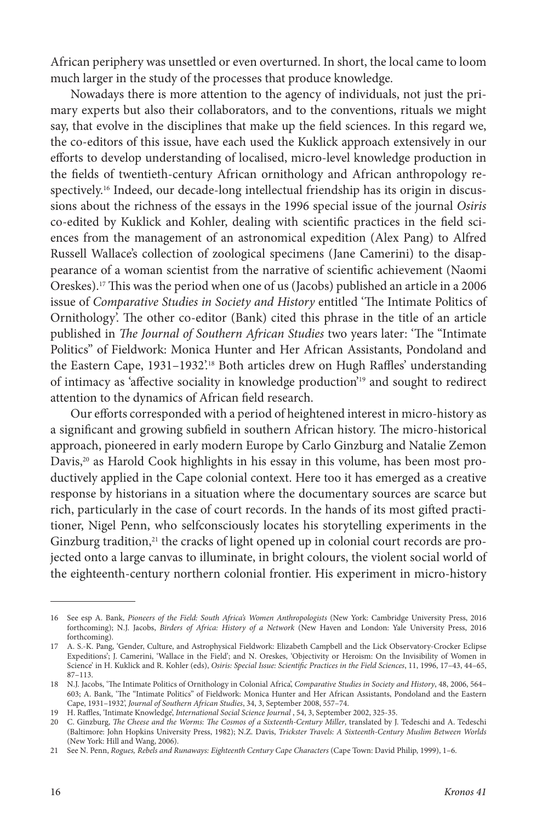African periphery was unsettled or even overturned. In short, the local came to loom much larger in the study of the processes that produce knowledge.

Nowadays there is more attention to the agency of individuals, not just the primary experts but also their collaborators, and to the conventions, rituals we might say, that evolve in the disciplines that make up the field sciences. In this regard we, the co-editors of this issue, have each used the Kuklick approach extensively in our efforts to develop understanding of localised, micro-level knowledge production in the fields of twentieth-century African ornithology and African anthropology respectively.16 Indeed, our decade-long intellectual friendship has its origin in discussions about the richness of the essays in the 1996 special issue of the journal *Osiris* co-edited by Kuklick and Kohler, dealing with scientific practices in the field sciences from the management of an astronomical expedition (Alex Pang) to Alfred Russell Wallace's collection of zoological specimens (Jane Camerini) to the disappearance of a woman scientist from the narrative of scientific achievement (Naomi Oreskes).17 This was the period when one of us (Jacobs) published an article in a 2006 issue of *Comparative Studies in Society and History* entitled 'The Intimate Politics of Ornithology'. The other co-editor (Bank) cited this phrase in the title of an article published in *The Journal of Southern African Studies* two years later: 'The "Intimate Politics" of Fieldwork: Monica Hunter and Her African Assistants, Pondoland and the Eastern Cape, 1931-1932'.<sup>18</sup> Both articles drew on Hugh Raffles' understanding of intimacy as 'affective sociality in knowledge production'19 and sought to redirect attention to the dynamics of African field research.

Our efforts corresponded with a period of heightened interest in micro-history as a significant and growing subfield in southern African history. The micro-historical approach, pioneered in early modern Europe by Carlo Ginzburg and Natalie Zemon Davis,<sup>20</sup> as Harold Cook highlights in his essay in this volume, has been most productively applied in the Cape colonial context. Here too it has emerged as a creative response by historians in a situation where the documentary sources are scarce but rich, particularly in the case of court records. In the hands of its most gifted practitioner, Nigel Penn, who selfconsciously locates his storytelling experiments in the Ginzburg tradition,<sup>21</sup> the cracks of light opened up in colonial court records are projected onto a large canvas to illuminate, in bright colours, the violent social world of the eighteenth-century northern colonial frontier. His experiment in micro-history

<sup>16</sup> See esp A. Bank, *Pioneers of the Field: South Africa's Women Anthropologists* (New York: Cambridge University Press, 2016 forthcoming); N.J. Jacobs, *Birders of Africa: History of a Network* (New Haven and London: Yale University Press, 2016 forthcoming).

<sup>17</sup> A. S.-K. Pang, 'Gender, Culture, and Astrophysical Fieldwork: Elizabeth Campbell and the Lick Observatory-Crocker Eclipse Expeditions'; J. Camerini, 'Wallace in the Field'; and N. Oreskes, 'Objectivity or Heroism: On the Invisibility of Women in Science' in H. Kuklick and R. Kohler (eds), *Osiris: Special Issue: Scientific Practices in the Field Sciences*, 11, 1996, 17–43, 44–65, 87–113.

<sup>18</sup> N.J. Jacobs, 'The Intimate Politics of Ornithology in Colonial Africa', *Comparative Studies in Society and History*, 48, 2006, 564– 603; A. Bank, 'The "Intimate Politics" of Fieldwork: Monica Hunter and Her African Assistants, Pondoland and the Eastern Cape, 1931–1932', *Journal of Southern African Studies*, 34, 3, September 2008, 557–74.

<sup>19</sup> H. Raffles, 'Intimate Knowledge', *International Social Science Journal* , 54, 3, September 2002, 325-35.

<sup>20</sup> C. Ginzburg, *The Cheese and the Worms: The Cosmos of a Sixteenth-Century Miller*, translated by J. Tedeschi and A. Tedeschi (Baltimore: John Hopkins University Press, 1982); N.Z. Davis, *Trickster Travels: A Sixteenth-Century Muslim Between Worlds* (New York: Hill and Wang, 2006).

<sup>21</sup> See N. Penn, *Rogues, Rebels and Runaways: Eighteenth Century Cape Characters* (Cape Town: David Philip, 1999), 1–6.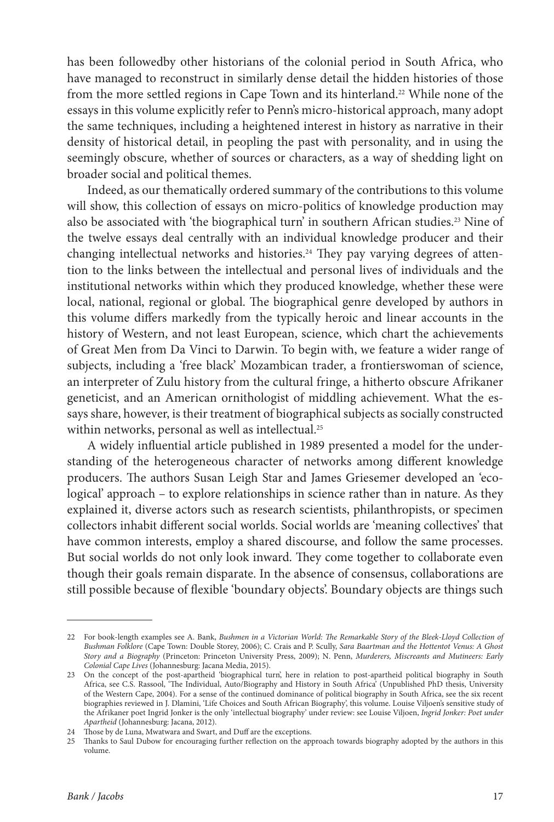has been followedby other historians of the colonial period in South Africa, who have managed to reconstruct in similarly dense detail the hidden histories of those from the more settled regions in Cape Town and its hinterland.22 While none of the essays in this volume explicitly refer to Penn's micro-historical approach, many adopt the same techniques, including a heightened interest in history as narrative in their density of historical detail, in peopling the past with personality, and in using the seemingly obscure, whether of sources or characters, as a way of shedding light on broader social and political themes.

Indeed, as our thematically ordered summary of the contributions to this volume will show, this collection of essays on micro-politics of knowledge production may also be associated with 'the biographical turn' in southern African studies.23 Nine of the twelve essays deal centrally with an individual knowledge producer and their changing intellectual networks and histories.24 They pay varying degrees of attention to the links between the intellectual and personal lives of individuals and the institutional networks within which they produced knowledge, whether these were local, national, regional or global. The biographical genre developed by authors in this volume differs markedly from the typically heroic and linear accounts in the history of Western, and not least European, science, which chart the achievements of Great Men from Da Vinci to Darwin. To begin with, we feature a wider range of subjects, including a 'free black' Mozambican trader, a frontierswoman of science, an interpreter of Zulu history from the cultural fringe, a hitherto obscure Afrikaner geneticist, and an American ornithologist of middling achievement. What the essays share, however, is their treatment of biographical subjects as socially constructed within networks, personal as well as intellectual.25

A widely influential article published in 1989 presented a model for the understanding of the heterogeneous character of networks among different knowledge producers. The authors Susan Leigh Star and James Griesemer developed an 'ecological' approach – to explore relationships in science rather than in nature. As they explained it, diverse actors such as research scientists, philanthropists, or specimen collectors inhabit different social worlds. Social worlds are 'meaning collectives' that have common interests, employ a shared discourse, and follow the same processes. But social worlds do not only look inward. They come together to collaborate even though their goals remain disparate. In the absence of consensus, collaborations are still possible because of flexible 'boundary objects'. Boundary objects are things such

<sup>22</sup> For book-length examples see A. Bank, *Bushmen in a Victorian World: The Remarkable Story of the Bleek-Lloyd Collection of Bushman Folklore* (Cape Town: Double Storey, 2006); C. Crais and P. Scully, *Sara Baartman and the Hottentot Venus: A Ghost Story and a Biography* (Princeton: Princeton University Press, 2009); N. Penn, *Murderers, Miscreants and Mutineers: Early Colonial Cape Lives* (Johannesburg: Jacana Media, 2015).

<sup>23</sup> On the concept of the post-apartheid 'biographical turn', here in relation to post-apartheid political biography in South Africa, see C.S. Rassool, 'The Individual, Auto/Biography and History in South Africa' (Unpublished PhD thesis, University of the Western Cape, 2004). For a sense of the continued dominance of political biography in South Africa, see the six recent biographies reviewed in J. Dlamini, 'Life Choices and South African Biography', this volume. Louise Viljoen's sensitive study of the Afrikaner poet Ingrid Jonker is the only 'intellectual biography' under review: see Louise Viljoen, *Ingrid Jonker: Poet under Apartheid* (Johannesburg: Jacana, 2012).

<sup>24</sup> Those by de Luna, Mwatwara and Swart, and Duff are the exceptions.

<sup>25</sup> Thanks to Saul Dubow for encouraging further reflection on the approach towards biography adopted by the authors in this volume.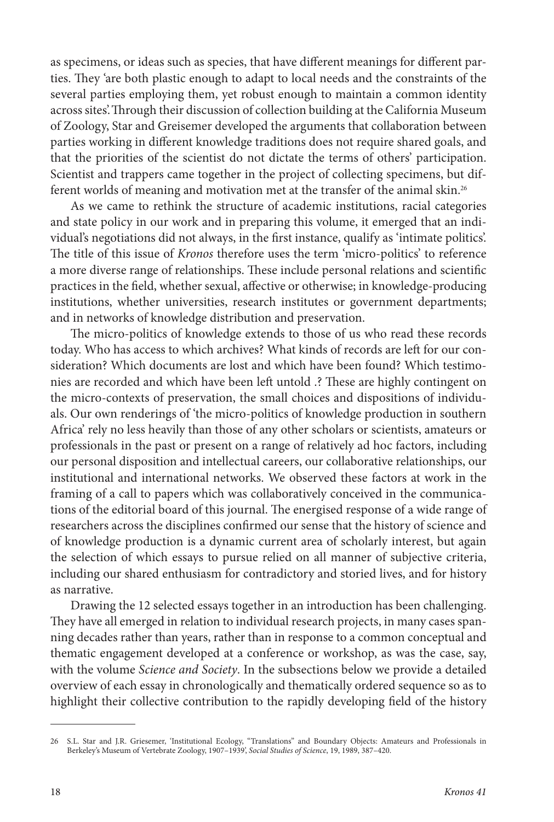as specimens, or ideas such as species, that have different meanings for different parties. They 'are both plastic enough to adapt to local needs and the constraints of the several parties employing them, yet robust enough to maintain a common identity across sites'.Through their discussion of collection building at the California Museum of Zoology, Star and Greisemer developed the arguments that collaboration between parties working in different knowledge traditions does not require shared goals, and that the priorities of the scientist do not dictate the terms of others' participation. Scientist and trappers came together in the project of collecting specimens, but different worlds of meaning and motivation met at the transfer of the animal skin.26

As we came to rethink the structure of academic institutions, racial categories and state policy in our work and in preparing this volume, it emerged that an individual's negotiations did not always, in the first instance, qualify as 'intimate politics'. The title of this issue of *Kronos* therefore uses the term 'micro-politics' to reference a more diverse range of relationships. These include personal relations and scientific practices in the field, whether sexual, affective or otherwise; in knowledge-producing institutions, whether universities, research institutes or government departments; and in networks of knowledge distribution and preservation.

The micro-politics of knowledge extends to those of us who read these records today. Who has access to which archives? What kinds of records are left for our consideration? Which documents are lost and which have been found? Which testimonies are recorded and which have been left untold .? These are highly contingent on the micro-contexts of preservation, the small choices and dispositions of individuals. Our own renderings of 'the micro-politics of knowledge production in southern Africa' rely no less heavily than those of any other scholars or scientists, amateurs or professionals in the past or present on a range of relatively ad hoc factors, including our personal disposition and intellectual careers, our collaborative relationships, our institutional and international networks. We observed these factors at work in the framing of a call to papers which was collaboratively conceived in the communications of the editorial board of this journal. The energised response of a wide range of researchers across the disciplines confirmed our sense that the history of science and of knowledge production is a dynamic current area of scholarly interest, but again the selection of which essays to pursue relied on all manner of subjective criteria, including our shared enthusiasm for contradictory and storied lives, and for history as narrative.

Drawing the 12 selected essays together in an introduction has been challenging. They have all emerged in relation to individual research projects, in many cases spanning decades rather than years, rather than in response to a common conceptual and thematic engagement developed at a conference or workshop, as was the case, say, with the volume *Science and Society*. In the subsections below we provide a detailed overview of each essay in chronologically and thematically ordered sequence so as to highlight their collective contribution to the rapidly developing field of the history

<sup>26</sup> S.L. Star and J.R. Griesemer, 'Institutional Ecology, "Translations" and Boundary Objects: Amateurs and Professionals in Berkeley's Museum of Vertebrate Zoology, 1907–1939', *Social Studies of Science*, 19, 1989, 387–420.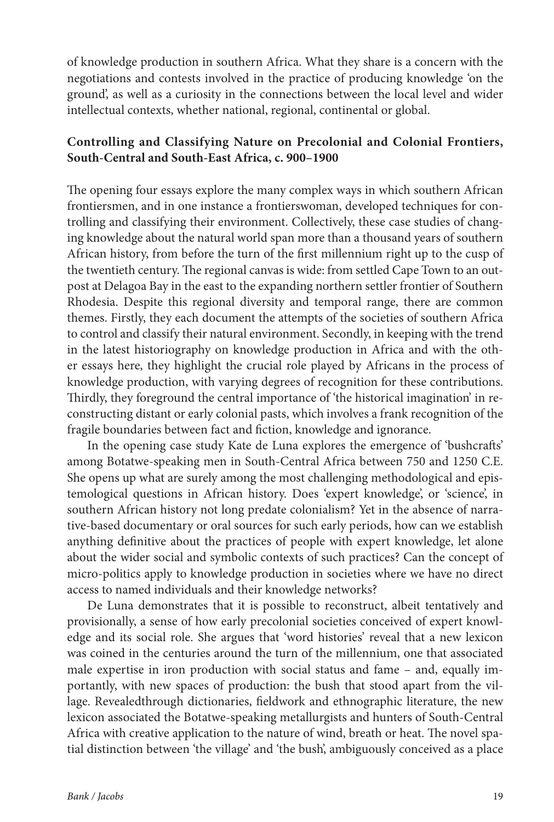of knowledge production in southern Africa. What they share is a concern with the negotiations and contests involved in the practice of producing knowledge 'on the ground', as well as a curiosity in the connections between the local level and wider intellectual contexts, whether national, regional, continental or global.

## **Controlling and Classifying Nature on Precolonial and Colonial Frontiers, South-Central and South-East Africa, c. 900–1900**

The opening four essays explore the many complex ways in which southern African frontiersmen, and in one instance a frontierswoman, developed techniques for controlling and classifying their environment. Collectively, these case studies of changing knowledge about the natural world span more than a thousand years of southern African history, from before the turn of the first millennium right up to the cusp of the twentieth century. The regional canvas is wide: from settled Cape Town to an outpost at Delagoa Bay in the east to the expanding northern settler frontier of Southern Rhodesia. Despite this regional diversity and temporal range, there are common themes. Firstly, they each document the attempts of the societies of southern Africa to control and classify their natural environment. Secondly, in keeping with the trend in the latest historiography on knowledge production in Africa and with the other essays here, they highlight the crucial role played by Africans in the process of knowledge production, with varying degrees of recognition for these contributions. Thirdly, they foreground the central importance of 'the historical imagination' in reconstructing distant or early colonial pasts, which involves a frank recognition of the fragile boundaries between fact and fiction, knowledge and ignorance.

In the opening case study Kate de Luna explores the emergence of 'bushcrafts' among Botatwe-speaking men in South-Central Africa between 750 and 1250 C.E. She opens up what are surely among the most challenging methodological and epistemological questions in African history. Does 'expert knowledge', or 'science', in southern African history not long predate colonialism? Yet in the absence of narrative-based documentary or oral sources for such early periods, how can we establish anything definitive about the practices of people with expert knowledge, let alone about the wider social and symbolic contexts of such practices? Can the concept of micro-politics apply to knowledge production in societies where we have no direct access to named individuals and their knowledge networks?

De Luna demonstrates that it is possible to reconstruct, albeit tentatively and provisionally, a sense of how early precolonial societies conceived of expert knowledge and its social role. She argues that 'word histories' reveal that a new lexicon was coined in the centuries around the turn of the millennium, one that associated male expertise in iron production with social status and fame – and, equally importantly, with new spaces of production: the bush that stood apart from the village. Revealedthrough dictionaries, fieldwork and ethnographic literature, the new lexicon associated the Botatwe-speaking metallurgists and hunters of South-Central Africa with creative application to the nature of wind, breath or heat. The novel spatial distinction between 'the village' and 'the bush', ambiguously conceived as a place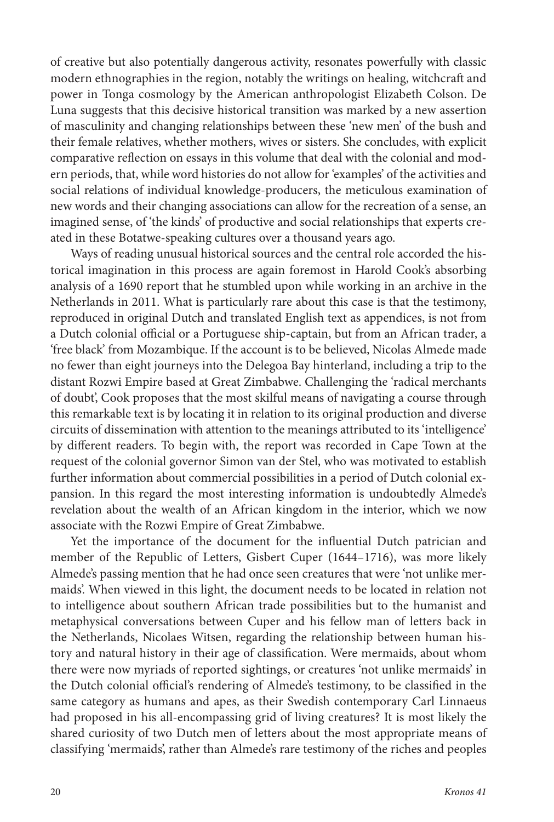of creative but also potentially dangerous activity, resonates powerfully with classic modern ethnographies in the region, notably the writings on healing, witchcraft and power in Tonga cosmology by the American anthropologist Elizabeth Colson. De Luna suggests that this decisive historical transition was marked by a new assertion of masculinity and changing relationships between these 'new men' of the bush and their female relatives, whether mothers, wives or sisters. She concludes, with explicit comparative reflection on essays in this volume that deal with the colonial and modern periods, that, while word histories do not allow for 'examples' of the activities and social relations of individual knowledge-producers, the meticulous examination of new words and their changing associations can allow for the recreation of a sense, an imagined sense, of 'the kinds' of productive and social relationships that experts created in these Botatwe-speaking cultures over a thousand years ago.

Ways of reading unusual historical sources and the central role accorded the historical imagination in this process are again foremost in Harold Cook's absorbing analysis of a 1690 report that he stumbled upon while working in an archive in the Netherlands in 2011. What is particularly rare about this case is that the testimony, reproduced in original Dutch and translated English text as appendices, is not from a Dutch colonial official or a Portuguese ship-captain, but from an African trader, a 'free black' from Mozambique. If the account is to be believed, Nicolas Almede made no fewer than eight journeys into the Delegoa Bay hinterland, including a trip to the distant Rozwi Empire based at Great Zimbabwe. Challenging the 'radical merchants of doubt', Cook proposes that the most skilful means of navigating a course through this remarkable text is by locating it in relation to its original production and diverse circuits of dissemination with attention to the meanings attributed to its 'intelligence' by different readers. To begin with, the report was recorded in Cape Town at the request of the colonial governor Simon van der Stel, who was motivated to establish further information about commercial possibilities in a period of Dutch colonial expansion. In this regard the most interesting information is undoubtedly Almede's revelation about the wealth of an African kingdom in the interior, which we now associate with the Rozwi Empire of Great Zimbabwe.

Yet the importance of the document for the influential Dutch patrician and member of the Republic of Letters, Gisbert Cuper (1644–1716), was more likely Almede's passing mention that he had once seen creatures that were 'not unlike mermaids'. When viewed in this light, the document needs to be located in relation not to intelligence about southern African trade possibilities but to the humanist and metaphysical conversations between Cuper and his fellow man of letters back in the Netherlands, Nicolaes Witsen, regarding the relationship between human history and natural history in their age of classification. Were mermaids, about whom there were now myriads of reported sightings, or creatures 'not unlike mermaids' in the Dutch colonial official's rendering of Almede's testimony, to be classified in the same category as humans and apes, as their Swedish contemporary Carl Linnaeus had proposed in his all-encompassing grid of living creatures? It is most likely the shared curiosity of two Dutch men of letters about the most appropriate means of classifying 'mermaids', rather than Almede's rare testimony of the riches and peoples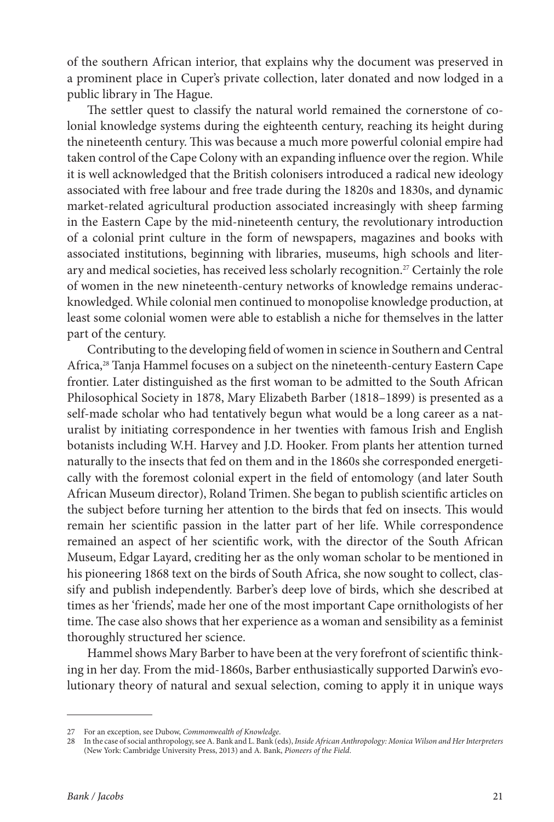of the southern African interior, that explains why the document was preserved in a prominent place in Cuper's private collection, later donated and now lodged in a public library in The Hague.

The settler quest to classify the natural world remained the cornerstone of colonial knowledge systems during the eighteenth century, reaching its height during the nineteenth century. This was because a much more powerful colonial empire had taken control of the Cape Colony with an expanding influence over the region. While it is well acknowledged that the British colonisers introduced a radical new ideology associated with free labour and free trade during the 1820s and 1830s, and dynamic market-related agricultural production associated increasingly with sheep farming in the Eastern Cape by the mid-nineteenth century, the revolutionary introduction of a colonial print culture in the form of newspapers, magazines and books with associated institutions, beginning with libraries, museums, high schools and literary and medical societies, has received less scholarly recognition.27 Certainly the role of women in the new nineteenth-century networks of knowledge remains underacknowledged. While colonial men continued to monopolise knowledge production, at least some colonial women were able to establish a niche for themselves in the latter part of the century.

Contributing to the developing field of women in science in Southern and Central Africa,28 Tanja Hammel focuses on a subject on the nineteenth-century Eastern Cape frontier. Later distinguished as the first woman to be admitted to the South African Philosophical Society in 1878, Mary Elizabeth Barber (1818–1899) is presented as a self-made scholar who had tentatively begun what would be a long career as a naturalist by initiating correspondence in her twenties with famous Irish and English botanists including W.H. Harvey and J.D. Hooker. From plants her attention turned naturally to the insects that fed on them and in the 1860s she corresponded energetically with the foremost colonial expert in the field of entomology (and later South African Museum director), Roland Trimen. She began to publish scientific articles on the subject before turning her attention to the birds that fed on insects. This would remain her scientific passion in the latter part of her life. While correspondence remained an aspect of her scientific work, with the director of the South African Museum, Edgar Layard, crediting her as the only woman scholar to be mentioned in his pioneering 1868 text on the birds of South Africa, she now sought to collect, classify and publish independently. Barber's deep love of birds, which she described at times as her 'friends', made her one of the most important Cape ornithologists of her time. The case also shows that her experience as a woman and sensibility as a feminist thoroughly structured her science.

Hammel shows Mary Barber to have been at the very forefront of scientific thinking in her day. From the mid-1860s, Barber enthusiastically supported Darwin's evolutionary theory of natural and sexual selection, coming to apply it in unique ways

<sup>27</sup> For an exception, see Dubow, *Commonwealth of Knowledge*.

<sup>28</sup> In the case of social anthropology, see A. Bank and L. Bank (eds), *Inside African Anthropology: Monica Wilson and Her Interpreters* (New York: Cambridge University Press, 2013) and A. Bank, *Pioneers of the Field*.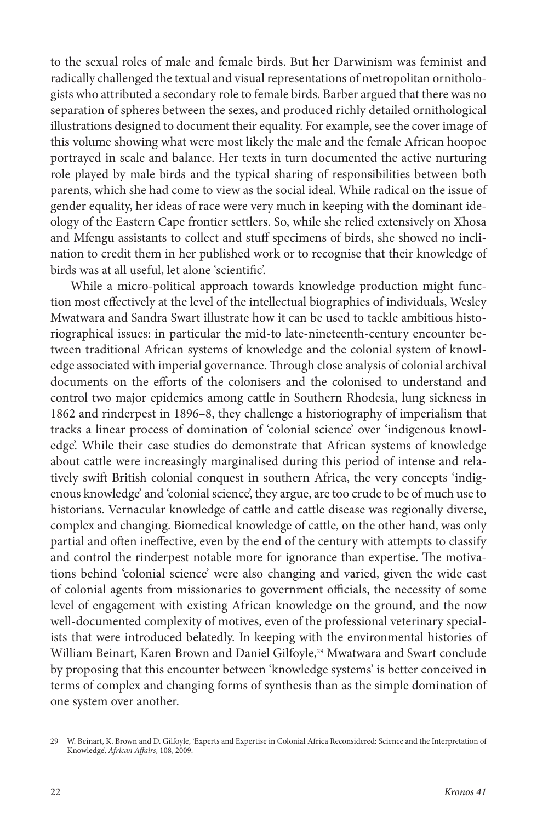to the sexual roles of male and female birds. But her Darwinism was feminist and radically challenged the textual and visual representations of metropolitan ornithologists who attributed a secondary role to female birds. Barber argued that there was no separation of spheres between the sexes, and produced richly detailed ornithological illustrations designed to document their equality. For example, see the cover image of this volume showing what were most likely the male and the female African hoopoe portrayed in scale and balance. Her texts in turn documented the active nurturing role played by male birds and the typical sharing of responsibilities between both parents, which she had come to view as the social ideal. While radical on the issue of gender equality, her ideas of race were very much in keeping with the dominant ideology of the Eastern Cape frontier settlers. So, while she relied extensively on Xhosa and Mfengu assistants to collect and stuff specimens of birds, she showed no inclination to credit them in her published work or to recognise that their knowledge of birds was at all useful, let alone 'scientific'.

While a micro-political approach towards knowledge production might function most effectively at the level of the intellectual biographies of individuals, Wesley Mwatwara and Sandra Swart illustrate how it can be used to tackle ambitious historiographical issues: in particular the mid-to late-nineteenth-century encounter between traditional African systems of knowledge and the colonial system of knowledge associated with imperial governance. Through close analysis of colonial archival documents on the efforts of the colonisers and the colonised to understand and control two major epidemics among cattle in Southern Rhodesia, lung sickness in 1862 and rinderpest in 1896–8, they challenge a historiography of imperialism that tracks a linear process of domination of 'colonial science' over 'indigenous knowledge'. While their case studies do demonstrate that African systems of knowledge about cattle were increasingly marginalised during this period of intense and relatively swift British colonial conquest in southern Africa, the very concepts 'indigenous knowledge' and 'colonial science', they argue, are too crude to be of much use to historians. Vernacular knowledge of cattle and cattle disease was regionally diverse, complex and changing. Biomedical knowledge of cattle, on the other hand, was only partial and often ineffective, even by the end of the century with attempts to classify and control the rinderpest notable more for ignorance than expertise. The motivations behind 'colonial science' were also changing and varied, given the wide cast of colonial agents from missionaries to government officials, the necessity of some level of engagement with existing African knowledge on the ground, and the now well-documented complexity of motives, even of the professional veterinary specialists that were introduced belatedly. In keeping with the environmental histories of William Beinart, Karen Brown and Daniel Gilfoyle,<sup>29</sup> Mwatwara and Swart conclude by proposing that this encounter between 'knowledge systems' is better conceived in terms of complex and changing forms of synthesis than as the simple domination of one system over another.

<sup>29</sup> W. Beinart, K. Brown and D. Gilfoyle, 'Experts and Expertise in Colonial Africa Reconsidered: Science and the Interpretation of Knowledge', *African Affairs*, 108, 2009.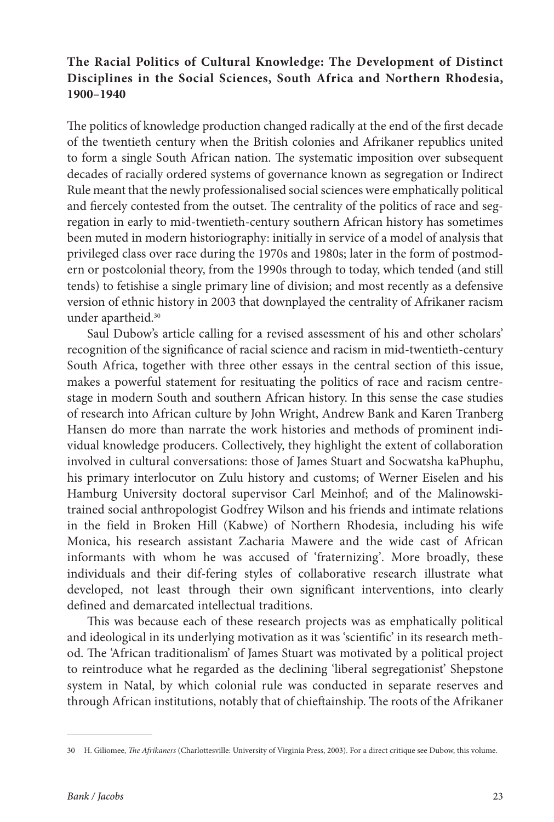# **The Racial Politics of Cultural Knowledge: The Development of Distinct Disciplines in the Social Sciences, South Africa and Northern Rhodesia, 1900–1940**

The politics of knowledge production changed radically at the end of the first decade of the twentieth century when the British colonies and Afrikaner republics united to form a single South African nation. The systematic imposition over subsequent decades of racially ordered systems of governance known as segregation or Indirect Rule meant that the newly professionalised social sciences were emphatically political and fiercely contested from the outset. The centrality of the politics of race and segregation in early to mid-twentieth-century southern African history has sometimes been muted in modern historiography: initially in service of a model of analysis that privileged class over race during the 1970s and 1980s; later in the form of postmodern or postcolonial theory, from the 1990s through to today, which tended (and still tends) to fetishise a single primary line of division; and most recently as a defensive version of ethnic history in 2003 that downplayed the centrality of Afrikaner racism under apartheid.<sup>30</sup>

Saul Dubow's article calling for a revised assessment of his and other scholars' recognition of the significance of racial science and racism in mid-twentieth-century South Africa, together with three other essays in the central section of this issue, makes a powerful statement for resituating the politics of race and racism centrestage in modern South and southern African history. In this sense the case studies of research into African culture by John Wright, Andrew Bank and Karen Tranberg Hansen do more than narrate the work histories and methods of prominent individual knowledge producers. Collectively, they highlight the extent of collaboration involved in cultural conversations: those of James Stuart and Socwatsha kaPhuphu, his primary interlocutor on Zulu history and customs; of Werner Eiselen and his Hamburg University doctoral supervisor Carl Meinhof; and of the Malinowskitrained social anthropologist Godfrey Wilson and his friends and intimate relations in the field in Broken Hill (Kabwe) of Northern Rhodesia, including his wife Monica, his research assistant Zacharia Mawere and the wide cast of African informants with whom he was accused of 'fraternizing'. More broadly, these individuals and their dif-fering styles of collaborative research illustrate what developed, not least through their own significant interventions, into clearly defined and demarcated intellectual traditions.

This was because each of these research projects was as emphatically political and ideological in its underlying motivation as it was 'scientific' in its research method. The 'African traditionalism' of James Stuart was motivated by a political project to reintroduce what he regarded as the declining 'liberal segregationist' Shepstone system in Natal, by which colonial rule was conducted in separate reserves and through African institutions, notably that of chieftainship. The roots of the Afrikaner

<sup>30</sup> H. Giliomee, *The Afrikaners* (Charlottesville: University of Virginia Press, 2003). For a direct critique see Dubow, this volume.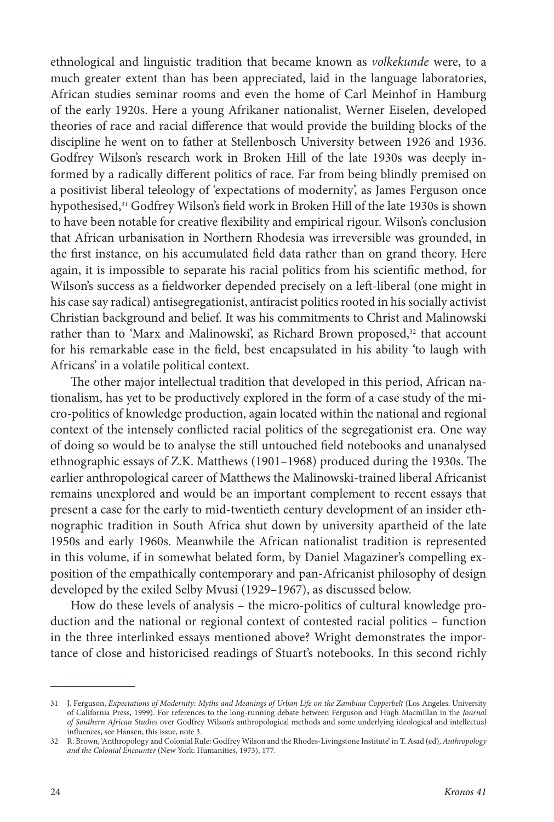ethnological and linguistic tradition that became known as *volkekunde* were, to a much greater extent than has been appreciated, laid in the language laboratories, African studies seminar rooms and even the home of Carl Meinhof in Hamburg of the early 1920s. Here a young Afrikaner nationalist, Werner Eiselen, developed theories of race and racial difference that would provide the building blocks of the discipline he went on to father at Stellenbosch University between 1926 and 1936. Godfrey Wilson's research work in Broken Hill of the late 1930s was deeply informed by a radically different politics of race. Far from being blindly premised on a positivist liberal teleology of 'expectations of modernity', as James Ferguson once hypothesised,31 Godfrey Wilson's field work in Broken Hill of the late 1930s is shown to have been notable for creative flexibility and empirical rigour. Wilson's conclusion that African urbanisation in Northern Rhodesia was irreversible was grounded, in the first instance, on his accumulated field data rather than on grand theory. Here again, it is impossible to separate his racial politics from his scientific method, for Wilson's success as a fieldworker depended precisely on a left-liberal (one might in his case say radical) antisegregationist, antiracist politics rooted in his socially activist Christian background and belief. It was his commitments to Christ and Malinowski rather than to 'Marx and Malinowski', as Richard Brown proposed, $32$  that account for his remarkable ease in the field, best encapsulated in his ability 'to laugh with Africans' in a volatile political context.

The other major intellectual tradition that developed in this period, African nationalism, has yet to be productively explored in the form of a case study of the micro-politics of knowledge production, again located within the national and regional context of the intensely conflicted racial politics of the segregationist era. One way of doing so would be to analyse the still untouched field notebooks and unanalysed ethnographic essays of Z.K. Matthews (1901–1968) produced during the 1930s. The earlier anthropological career of Matthews the Malinowski-trained liberal Africanist remains unexplored and would be an important complement to recent essays that present a case for the early to mid-twentieth century development of an insider ethnographic tradition in South Africa shut down by university apartheid of the late 1950s and early 1960s. Meanwhile the African nationalist tradition is represented in this volume, if in somewhat belated form, by Daniel Magaziner's compelling exposition of the empathically contemporary and pan-Africanist philosophy of design developed by the exiled Selby Mvusi (1929–1967), as discussed below.

How do these levels of analysis – the micro-politics of cultural knowledge production and the national or regional context of contested racial politics – function in the three interlinked essays mentioned above? Wright demonstrates the importance of close and historicised readings of Stuart's notebooks. In this second richly

<sup>31</sup> J. Ferguson, *Expectations of Modernity: Myths and Meanings of Urban Life on the Zambian Copperbelt* (Los Angeles: University of California Press, 1999). For references to the long-running debate between Ferguson and Hugh Macmillan in the *Journal of Southern African Studies* over Godfrey Wilson's anthropological methods and some underlying ideological and intellectual influences, see Hansen, this issue, note 3.

<sup>32</sup> R. Brown, 'Anthropology and Colonial Rule: Godfrey Wilson and the Rhodes-Livingstone Institute' in T. Asad (ed), *Anthropology and the Colonial Encounter* (New York: Humanities, 1973), 177.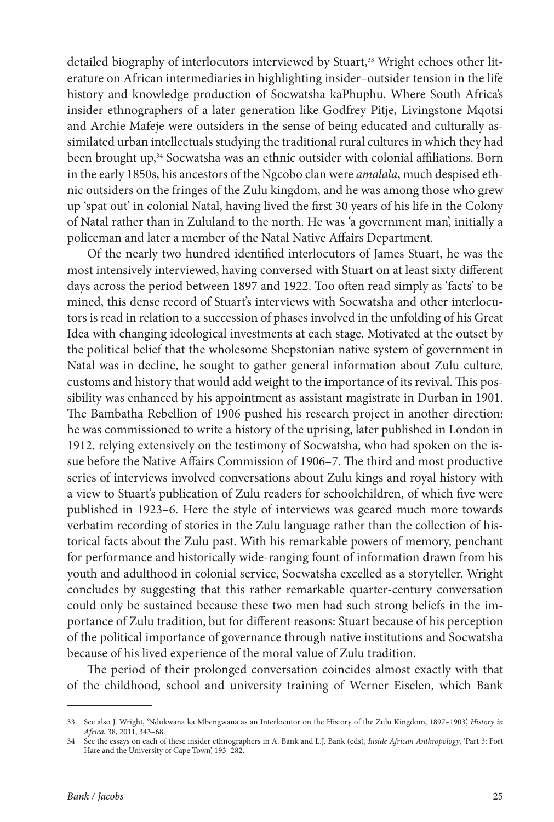detailed biography of interlocutors interviewed by Stuart,<sup>33</sup> Wright echoes other literature on African intermediaries in highlighting insider–outsider tension in the life history and knowledge production of Socwatsha kaPhuphu. Where South Africa's insider ethnographers of a later generation like Godfrey Pitje, Livingstone Mqotsi and Archie Mafeje were outsiders in the sense of being educated and culturally assimilated urban intellectuals studying the traditional rural cultures in which they had been brought up,<sup>34</sup> Socwatsha was an ethnic outsider with colonial affiliations. Born in the early 1850s, his ancestors of the Ngcobo clan were *amalala*, much despised ethnic outsiders on the fringes of the Zulu kingdom, and he was among those who grew up 'spat out' in colonial Natal, having lived the first 30 years of his life in the Colony of Natal rather than in Zululand to the north. He was 'a government man', initially a policeman and later a member of the Natal Native Affairs Department.

Of the nearly two hundred identified interlocutors of James Stuart, he was the most intensively interviewed, having conversed with Stuart on at least sixty different days across the period between 1897 and 1922. Too often read simply as 'facts' to be mined, this dense record of Stuart's interviews with Socwatsha and other interlocutors is read in relation to a succession of phases involved in the unfolding of his Great Idea with changing ideological investments at each stage. Motivated at the outset by the political belief that the wholesome Shepstonian native system of government in Natal was in decline, he sought to gather general information about Zulu culture, customs and history that would add weight to the importance of its revival. This possibility was enhanced by his appointment as assistant magistrate in Durban in 1901. The Bambatha Rebellion of 1906 pushed his research project in another direction: he was commissioned to write a history of the uprising, later published in London in 1912, relying extensively on the testimony of Socwatsha, who had spoken on the issue before the Native Affairs Commission of 1906–7. The third and most productive series of interviews involved conversations about Zulu kings and royal history with a view to Stuart's publication of Zulu readers for schoolchildren, of which five were published in 1923–6. Here the style of interviews was geared much more towards verbatim recording of stories in the Zulu language rather than the collection of historical facts about the Zulu past. With his remarkable powers of memory, penchant for performance and historically wide-ranging fount of information drawn from his youth and adulthood in colonial service, Socwatsha excelled as a storyteller. Wright concludes by suggesting that this rather remarkable quarter-century conversation could only be sustained because these two men had such strong beliefs in the importance of Zulu tradition, but for different reasons: Stuart because of his perception of the political importance of governance through native institutions and Socwatsha because of his lived experience of the moral value of Zulu tradition.

The period of their prolonged conversation coincides almost exactly with that of the childhood, school and university training of Werner Eiselen, which Bank

<sup>33</sup> See also J. Wright, 'Ndukwana ka Mbengwana as an Interlocutor on the History of the Zulu Kingdom, 1897–1903', *History in Africa*, 38, 2011, 343–68.

<sup>34</sup> See the essays on each of these insider ethnographers in A. Bank and L.J. Bank (eds), *Inside African Anthropology*, 'Part 3: Fort Hare and the University of Cape Town', 193–282.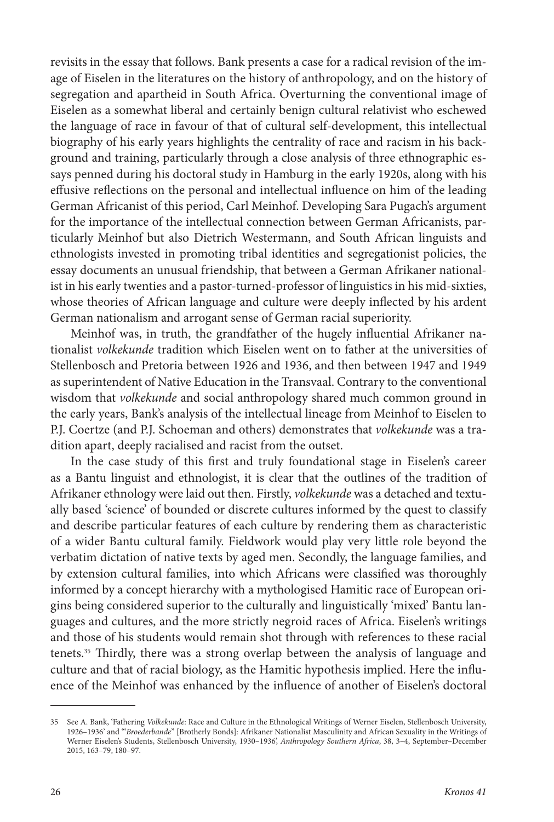revisits in the essay that follows. Bank presents a case for a radical revision of the image of Eiselen in the literatures on the history of anthropology, and on the history of segregation and apartheid in South Africa. Overturning the conventional image of Eiselen as a somewhat liberal and certainly benign cultural relativist who eschewed the language of race in favour of that of cultural self-development, this intellectual biography of his early years highlights the centrality of race and racism in his background and training, particularly through a close analysis of three ethnographic essays penned during his doctoral study in Hamburg in the early 1920s, along with his effusive reflections on the personal and intellectual influence on him of the leading German Africanist of this period, Carl Meinhof. Developing Sara Pugach's argument for the importance of the intellectual connection between German Africanists, particularly Meinhof but also Dietrich Westermann, and South African linguists and ethnologists invested in promoting tribal identities and segregationist policies, the essay documents an unusual friendship, that between a German Afrikaner nationalist in his early twenties and a pastor-turned-professor of linguistics in his mid-sixties, whose theories of African language and culture were deeply inflected by his ardent German nationalism and arrogant sense of German racial superiority.

Meinhof was, in truth, the grandfather of the hugely influential Afrikaner nationalist *volkekunde* tradition which Eiselen went on to father at the universities of Stellenbosch and Pretoria between 1926 and 1936, and then between 1947 and 1949 as superintendent of Native Education in the Transvaal. Contrary to the conventional wisdom that *volkekunde* and social anthropology shared much common ground in the early years, Bank's analysis of the intellectual lineage from Meinhof to Eiselen to P.J. Coertze (and P.J. Schoeman and others) demonstrates that *volkekunde* was a tradition apart, deeply racialised and racist from the outset.

In the case study of this first and truly foundational stage in Eiselen's career as a Bantu linguist and ethnologist, it is clear that the outlines of the tradition of Afrikaner ethnology were laid out then. Firstly, *volkekunde* was a detached and textually based 'science' of bounded or discrete cultures informed by the quest to classify and describe particular features of each culture by rendering them as characteristic of a wider Bantu cultural family. Fieldwork would play very little role beyond the verbatim dictation of native texts by aged men. Secondly, the language families, and by extension cultural families, into which Africans were classified was thoroughly informed by a concept hierarchy with a mythologised Hamitic race of European origins being considered superior to the culturally and linguistically 'mixed' Bantu languages and cultures, and the more strictly negroid races of Africa. Eiselen's writings and those of his students would remain shot through with references to these racial tenets.35 Thirdly, there was a strong overlap between the analysis of language and culture and that of racial biology, as the Hamitic hypothesis implied. Here the influence of the Meinhof was enhanced by the influence of another of Eiselen's doctoral

<sup>35</sup> See A. Bank, 'Fathering *Volkekunde*: Race and Culture in the Ethnological Writings of Werner Eiselen, Stellenbosch University, 1926–1936' and '"*Broederbande*" [Brotherly Bonds]: Afrikaner Nationalist Masculinity and African Sexuality in the Writings of Werner Eiselen's Students, Stellenbosch University, 1930–1936', *Anthropology Southern Africa*, 38, 3–4, September–December 2015, 163–79, 180–97.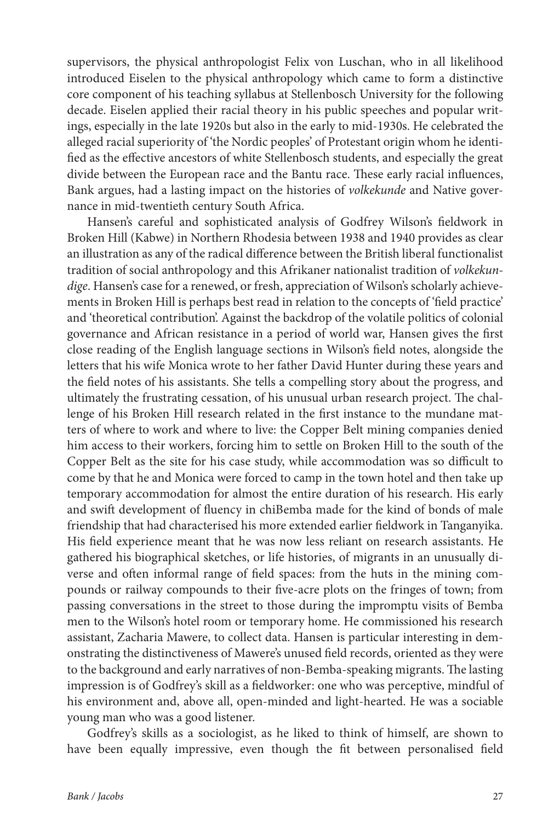supervisors, the physical anthropologist Felix von Luschan, who in all likelihood introduced Eiselen to the physical anthropology which came to form a distinctive core component of his teaching syllabus at Stellenbosch University for the following decade. Eiselen applied their racial theory in his public speeches and popular writings, especially in the late 1920s but also in the early to mid-1930s. He celebrated the alleged racial superiority of 'the Nordic peoples' of Protestant origin whom he identified as the effective ancestors of white Stellenbosch students, and especially the great divide between the European race and the Bantu race. These early racial influences, Bank argues, had a lasting impact on the histories of *volkekunde* and Native governance in mid-twentieth century South Africa.

Hansen's careful and sophisticated analysis of Godfrey Wilson's fieldwork in Broken Hill (Kabwe) in Northern Rhodesia between 1938 and 1940 provides as clear an illustration as any of the radical difference between the British liberal functionalist tradition of social anthropology and this Afrikaner nationalist tradition of *volkekundige*. Hansen's case for a renewed, or fresh, appreciation of Wilson's scholarly achievements in Broken Hill is perhaps best read in relation to the concepts of 'field practice' and 'theoretical contribution'. Against the backdrop of the volatile politics of colonial governance and African resistance in a period of world war, Hansen gives the first close reading of the English language sections in Wilson's field notes, alongside the letters that his wife Monica wrote to her father David Hunter during these years and the field notes of his assistants. She tells a compelling story about the progress, and ultimately the frustrating cessation, of his unusual urban research project. The challenge of his Broken Hill research related in the first instance to the mundane matters of where to work and where to live: the Copper Belt mining companies denied him access to their workers, forcing him to settle on Broken Hill to the south of the Copper Belt as the site for his case study, while accommodation was so difficult to come by that he and Monica were forced to camp in the town hotel and then take up temporary accommodation for almost the entire duration of his research. His early and swift development of fluency in chiBemba made for the kind of bonds of male friendship that had characterised his more extended earlier fieldwork in Tanganyika. His field experience meant that he was now less reliant on research assistants. He gathered his biographical sketches, or life histories, of migrants in an unusually diverse and often informal range of field spaces: from the huts in the mining compounds or railway compounds to their five-acre plots on the fringes of town; from passing conversations in the street to those during the impromptu visits of Bemba men to the Wilson's hotel room or temporary home. He commissioned his research assistant, Zacharia Mawere, to collect data. Hansen is particular interesting in demonstrating the distinctiveness of Mawere's unused field records, oriented as they were to the background and early narratives of non-Bemba-speaking migrants. The lasting impression is of Godfrey's skill as a fieldworker: one who was perceptive, mindful of his environment and, above all, open-minded and light-hearted. He was a sociable young man who was a good listener.

Godfrey's skills as a sociologist, as he liked to think of himself, are shown to have been equally impressive, even though the fit between personalised field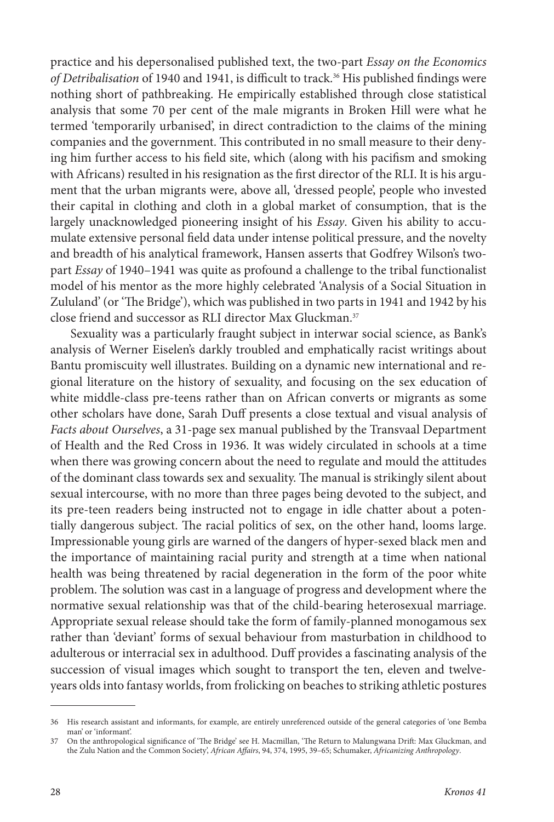practice and his depersonalised published text, the two-part *Essay on the Economics*  of Detribalisation of 1940 and 1941, is difficult to track.<sup>36</sup> His published findings were nothing short of pathbreaking. He empirically established through close statistical analysis that some 70 per cent of the male migrants in Broken Hill were what he termed 'temporarily urbanised', in direct contradiction to the claims of the mining companies and the government. This contributed in no small measure to their denying him further access to his field site, which (along with his pacifism and smoking with Africans) resulted in his resignation as the first director of the RLI. It is his argument that the urban migrants were, above all, 'dressed people', people who invested their capital in clothing and cloth in a global market of consumption, that is the largely unacknowledged pioneering insight of his *Essay*. Given his ability to accumulate extensive personal field data under intense political pressure, and the novelty and breadth of his analytical framework, Hansen asserts that Godfrey Wilson's twopart *Essay* of 1940–1941 was quite as profound a challenge to the tribal functionalist model of his mentor as the more highly celebrated 'Analysis of a Social Situation in Zululand' (or 'The Bridge'), which was published in two parts in 1941 and 1942 by his close friend and successor as RLI director Max Gluckman.37

Sexuality was a particularly fraught subject in interwar social science, as Bank's analysis of Werner Eiselen's darkly troubled and emphatically racist writings about Bantu promiscuity well illustrates. Building on a dynamic new international and regional literature on the history of sexuality, and focusing on the sex education of white middle-class pre-teens rather than on African converts or migrants as some other scholars have done, Sarah Duff presents a close textual and visual analysis of *Facts about Ourselves*, a 31-page sex manual published by the Transvaal Department of Health and the Red Cross in 1936. It was widely circulated in schools at a time when there was growing concern about the need to regulate and mould the attitudes of the dominant class towards sex and sexuality. The manual is strikingly silent about sexual intercourse, with no more than three pages being devoted to the subject, and its pre-teen readers being instructed not to engage in idle chatter about a potentially dangerous subject. The racial politics of sex, on the other hand, looms large. Impressionable young girls are warned of the dangers of hyper-sexed black men and the importance of maintaining racial purity and strength at a time when national health was being threatened by racial degeneration in the form of the poor white problem. The solution was cast in a language of progress and development where the normative sexual relationship was that of the child-bearing heterosexual marriage. Appropriate sexual release should take the form of family-planned monogamous sex rather than 'deviant' forms of sexual behaviour from masturbation in childhood to adulterous or interracial sex in adulthood. Duff provides a fascinating analysis of the succession of visual images which sought to transport the ten, eleven and twelveyears olds into fantasy worlds, from frolicking on beaches to striking athletic postures

<sup>36</sup> His research assistant and informants, for example, are entirely unreferenced outside of the general categories of 'one Bemba man' or 'informant'.

<sup>37</sup> On the anthropological significance of 'The Bridge' see H. Macmillan, 'The Return to Malungwana Drift: Max Gluckman, and the Zulu Nation and the Common Society', *African Affairs*, 94, 374, 1995, 39–65; Schumaker, *Africanizing Anthropology*.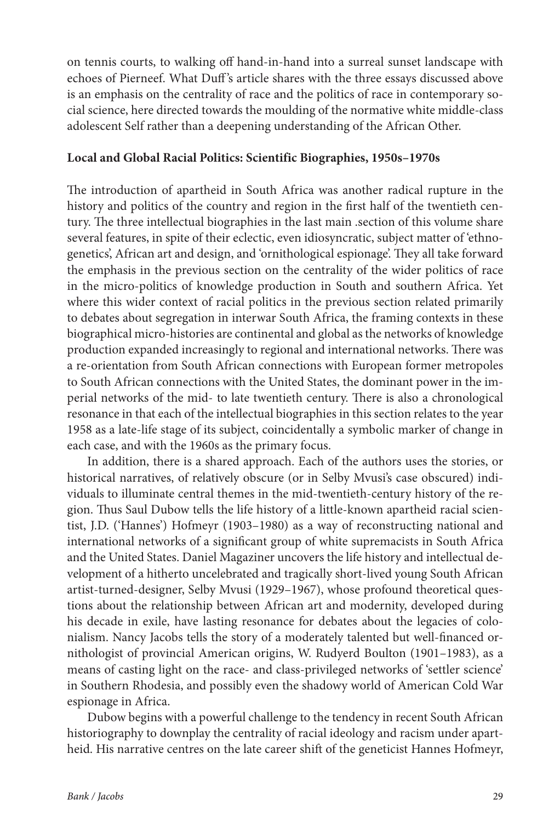on tennis courts, to walking off hand-in-hand into a surreal sunset landscape with echoes of Pierneef. What Duff 's article shares with the three essays discussed above is an emphasis on the centrality of race and the politics of race in contemporary social science, here directed towards the moulding of the normative white middle-class adolescent Self rather than a deepening understanding of the African Other.

### **Local and Global Racial Politics: Scientific Biographies, 1950s–1970s**

The introduction of apartheid in South Africa was another radical rupture in the history and politics of the country and region in the first half of the twentieth century. The three intellectual biographies in the last main .section of this volume share several features, in spite of their eclectic, even idiosyncratic, subject matter of 'ethnogenetics', African art and design, and 'ornithological espionage'. They all take forward the emphasis in the previous section on the centrality of the wider politics of race in the micro-politics of knowledge production in South and southern Africa. Yet where this wider context of racial politics in the previous section related primarily to debates about segregation in interwar South Africa, the framing contexts in these biographical micro-histories are continental and global as the networks of knowledge production expanded increasingly to regional and international networks. There was a re-orientation from South African connections with European former metropoles to South African connections with the United States, the dominant power in the imperial networks of the mid- to late twentieth century. There is also a chronological resonance in that each of the intellectual biographies in this section relates to the year 1958 as a late-life stage of its subject, coincidentally a symbolic marker of change in each case, and with the 1960s as the primary focus.

In addition, there is a shared approach. Each of the authors uses the stories, or historical narratives, of relatively obscure (or in Selby Mvusi's case obscured) individuals to illuminate central themes in the mid-twentieth-century history of the region. Thus Saul Dubow tells the life history of a little-known apartheid racial scientist, J.D. ('Hannes') Hofmeyr (1903–1980) as a way of reconstructing national and international networks of a significant group of white supremacists in South Africa and the United States. Daniel Magaziner uncovers the life history and intellectual development of a hitherto uncelebrated and tragically short-lived young South African artist-turned-designer, Selby Mvusi (1929–1967), whose profound theoretical questions about the relationship between African art and modernity, developed during his decade in exile, have lasting resonance for debates about the legacies of colonialism. Nancy Jacobs tells the story of a moderately talented but well-financed ornithologist of provincial American origins, W. Rudyerd Boulton (1901–1983), as a means of casting light on the race- and class-privileged networks of 'settler science' in Southern Rhodesia, and possibly even the shadowy world of American Cold War espionage in Africa.

Dubow begins with a powerful challenge to the tendency in recent South African historiography to downplay the centrality of racial ideology and racism under apartheid. His narrative centres on the late career shift of the geneticist Hannes Hofmeyr,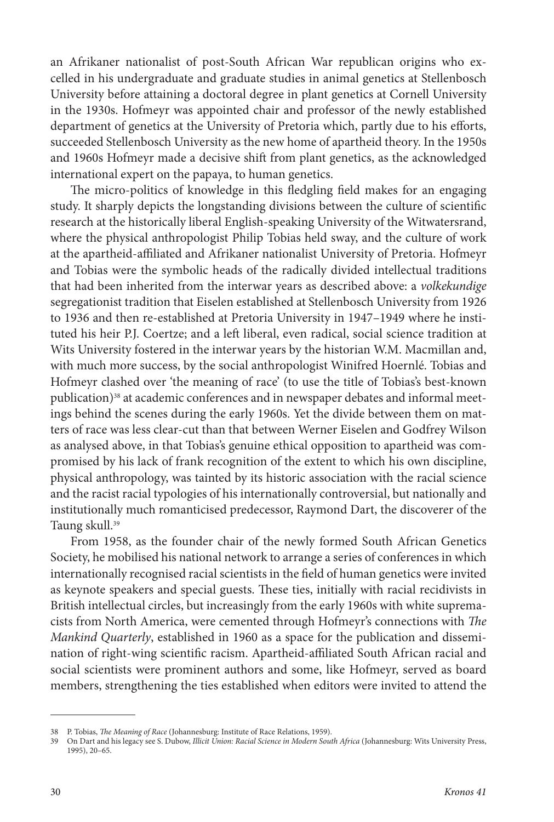an Afrikaner nationalist of post-South African War republican origins who excelled in his undergraduate and graduate studies in animal genetics at Stellenbosch University before attaining a doctoral degree in plant genetics at Cornell University in the 1930s. Hofmeyr was appointed chair and professor of the newly established department of genetics at the University of Pretoria which, partly due to his efforts, succeeded Stellenbosch University as the new home of apartheid theory. In the 1950s and 1960s Hofmeyr made a decisive shift from plant genetics, as the acknowledged international expert on the papaya, to human genetics.

The micro-politics of knowledge in this fledgling field makes for an engaging study. It sharply depicts the longstanding divisions between the culture of scientific research at the historically liberal English-speaking University of the Witwatersrand, where the physical anthropologist Philip Tobias held sway, and the culture of work at the apartheid-affiliated and Afrikaner nationalist University of Pretoria. Hofmeyr and Tobias were the symbolic heads of the radically divided intellectual traditions that had been inherited from the interwar years as described above: a *volkekundige* segregationist tradition that Eiselen established at Stellenbosch University from 1926 to 1936 and then re-established at Pretoria University in 1947–1949 where he instituted his heir P.J. Coertze; and a left liberal, even radical, social science tradition at Wits University fostered in the interwar years by the historian W.M. Macmillan and, with much more success, by the social anthropologist Winifred Hoernlé. Tobias and Hofmeyr clashed over 'the meaning of race' (to use the title of Tobias's best-known publication)<sup>38</sup> at academic conferences and in newspaper debates and informal meetings behind the scenes during the early 1960s. Yet the divide between them on matters of race was less clear-cut than that between Werner Eiselen and Godfrey Wilson as analysed above, in that Tobias's genuine ethical opposition to apartheid was compromised by his lack of frank recognition of the extent to which his own discipline, physical anthropology, was tainted by its historic association with the racial science and the racist racial typologies of his internationally controversial, but nationally and institutionally much romanticised predecessor, Raymond Dart, the discoverer of the Taung skull.<sup>39</sup>

From 1958, as the founder chair of the newly formed South African Genetics Society, he mobilised his national network to arrange a series of conferences in which internationally recognised racial scientists in the field of human genetics were invited as keynote speakers and special guests. These ties, initially with racial recidivists in British intellectual circles, but increasingly from the early 1960s with white supremacists from North America, were cemented through Hofmeyr's connections with *The Mankind Quarterly*, established in 1960 as a space for the publication and dissemination of right-wing scientific racism. Apartheid-affiliated South African racial and social scientists were prominent authors and some, like Hofmeyr, served as board members, strengthening the ties established when editors were invited to attend the

<sup>38</sup> P. Tobias, *The Meaning of Race* (Johannesburg: Institute of Race Relations, 1959).

<sup>39</sup> On Dart and his legacy see S. Dubow, *Illicit Union: Racial Science in Modern South Africa* (Johannesburg: Wits University Press, 1995), 20–65.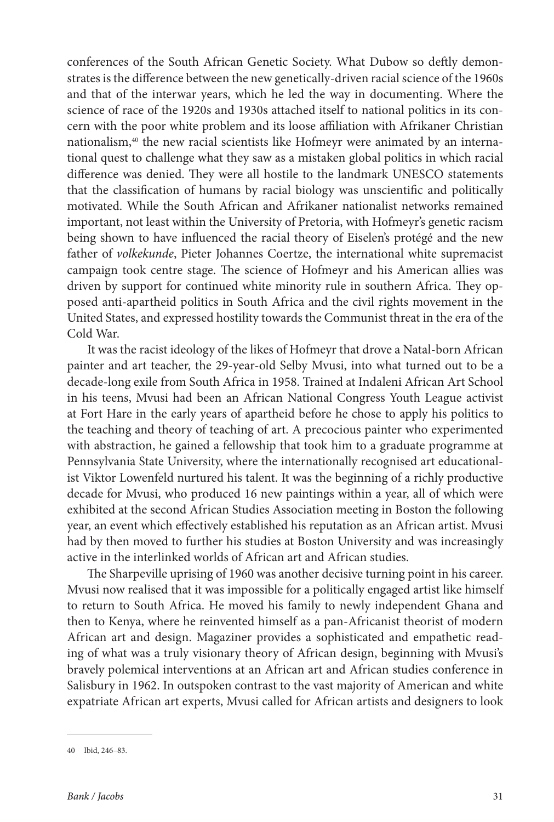conferences of the South African Genetic Society. What Dubow so deftly demonstrates is the difference between the new genetically-driven racial science of the 1960s and that of the interwar years, which he led the way in documenting. Where the science of race of the 1920s and 1930s attached itself to national politics in its concern with the poor white problem and its loose affiliation with Afrikaner Christian nationalism,40 the new racial scientists like Hofmeyr were animated by an international quest to challenge what they saw as a mistaken global politics in which racial difference was denied. They were all hostile to the landmark UNESCO statements that the classification of humans by racial biology was unscientific and politically motivated. While the South African and Afrikaner nationalist networks remained important, not least within the University of Pretoria, with Hofmeyr's genetic racism being shown to have influenced the racial theory of Eiselen's protégé and the new father of *volkekunde*, Pieter Johannes Coertze, the international white supremacist campaign took centre stage. The science of Hofmeyr and his American allies was driven by support for continued white minority rule in southern Africa. They opposed anti-apartheid politics in South Africa and the civil rights movement in the United States, and expressed hostility towards the Communist threat in the era of the Cold War.

It was the racist ideology of the likes of Hofmeyr that drove a Natal-born African painter and art teacher, the 29-year-old Selby Mvusi, into what turned out to be a decade-long exile from South Africa in 1958. Trained at Indaleni African Art School in his teens, Mvusi had been an African National Congress Youth League activist at Fort Hare in the early years of apartheid before he chose to apply his politics to the teaching and theory of teaching of art. A precocious painter who experimented with abstraction, he gained a fellowship that took him to a graduate programme at Pennsylvania State University, where the internationally recognised art educationalist Viktor Lowenfeld nurtured his talent. It was the beginning of a richly productive decade for Mvusi, who produced 16 new paintings within a year, all of which were exhibited at the second African Studies Association meeting in Boston the following year, an event which effectively established his reputation as an African artist. Mvusi had by then moved to further his studies at Boston University and was increasingly active in the interlinked worlds of African art and African studies.

The Sharpeville uprising of 1960 was another decisive turning point in his career. Mvusi now realised that it was impossible for a politically engaged artist like himself to return to South Africa. He moved his family to newly independent Ghana and then to Kenya, where he reinvented himself as a pan-Africanist theorist of modern African art and design. Magaziner provides a sophisticated and empathetic reading of what was a truly visionary theory of African design, beginning with Mvusi's bravely polemical interventions at an African art and African studies conference in Salisbury in 1962. In outspoken contrast to the vast majority of American and white expatriate African art experts, Mvusi called for African artists and designers to look

<sup>40</sup> Ibid, 246–83.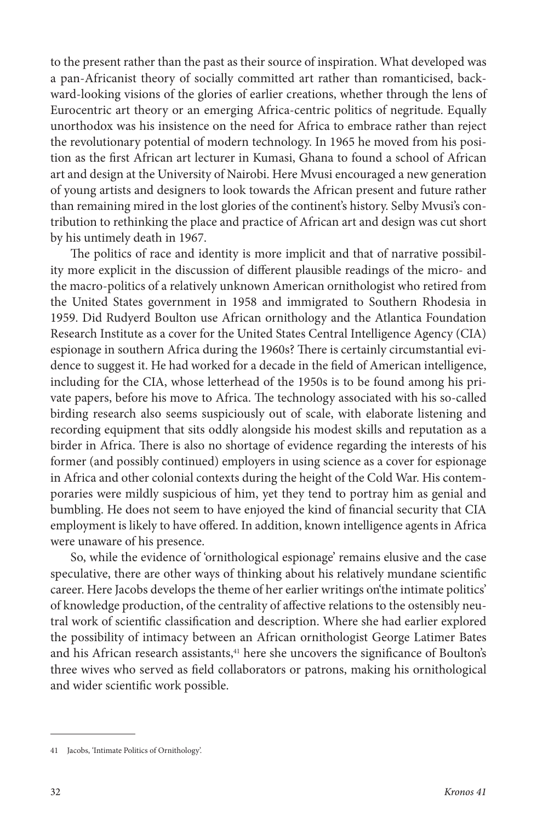to the present rather than the past as their source of inspiration. What developed was a pan-Africanist theory of socially committed art rather than romanticised, backward-looking visions of the glories of earlier creations, whether through the lens of Eurocentric art theory or an emerging Africa-centric politics of negritude. Equally unorthodox was his insistence on the need for Africa to embrace rather than reject the revolutionary potential of modern technology. In 1965 he moved from his position as the first African art lecturer in Kumasi, Ghana to found a school of African art and design at the University of Nairobi. Here Mvusi encouraged a new generation of young artists and designers to look towards the African present and future rather than remaining mired in the lost glories of the continent's history. Selby Mvusi's contribution to rethinking the place and practice of African art and design was cut short by his untimely death in 1967.

The politics of race and identity is more implicit and that of narrative possibility more explicit in the discussion of different plausible readings of the micro- and the macro-politics of a relatively unknown American ornithologist who retired from the United States government in 1958 and immigrated to Southern Rhodesia in 1959. Did Rudyerd Boulton use African ornithology and the Atlantica Foundation Research Institute as a cover for the United States Central Intelligence Agency (CIA) espionage in southern Africa during the 1960s? There is certainly circumstantial evidence to suggest it. He had worked for a decade in the field of American intelligence, including for the CIA, whose letterhead of the 1950s is to be found among his private papers, before his move to Africa. The technology associated with his so-called birding research also seems suspiciously out of scale, with elaborate listening and recording equipment that sits oddly alongside his modest skills and reputation as a birder in Africa. There is also no shortage of evidence regarding the interests of his former (and possibly continued) employers in using science as a cover for espionage in Africa and other colonial contexts during the height of the Cold War. His contemporaries were mildly suspicious of him, yet they tend to portray him as genial and bumbling. He does not seem to have enjoyed the kind of financial security that CIA employment is likely to have offered. In addition, known intelligence agents in Africa were unaware of his presence.

So, while the evidence of 'ornithological espionage' remains elusive and the case speculative, there are other ways of thinking about his relatively mundane scientific career. Here Jacobs develops the theme of her earlier writings on'the intimate politics' of knowledge production, of the centrality of affective relations to the ostensibly neutral work of scientific classification and description. Where she had earlier explored the possibility of intimacy between an African ornithologist George Latimer Bates and his African research assistants,<sup>41</sup> here she uncovers the significance of Boulton's three wives who served as field collaborators or patrons, making his ornithological and wider scientific work possible.

<sup>41</sup> Jacobs, 'Intimate Politics of Ornithology'.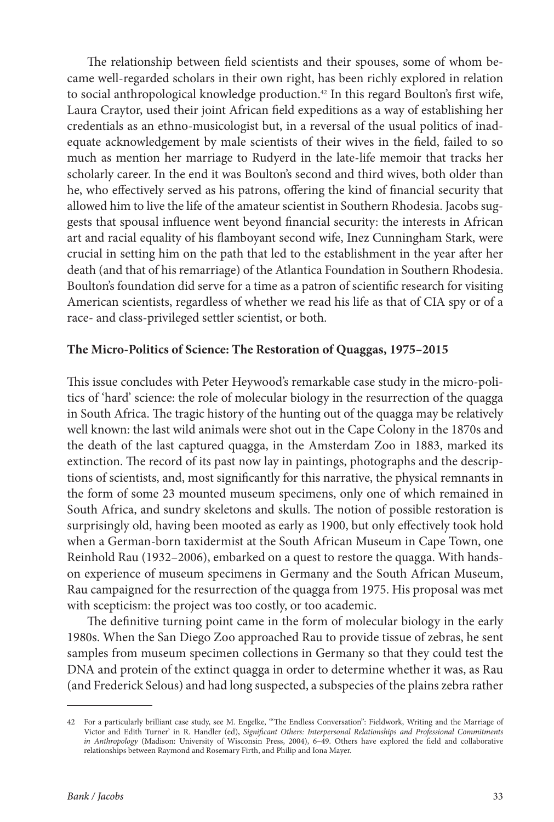The relationship between field scientists and their spouses, some of whom became well-regarded scholars in their own right, has been richly explored in relation to social anthropological knowledge production.<sup>42</sup> In this regard Boulton's first wife, Laura Craytor, used their joint African field expeditions as a way of establishing her credentials as an ethno-musicologist but, in a reversal of the usual politics of inadequate acknowledgement by male scientists of their wives in the field, failed to so much as mention her marriage to Rudyerd in the late-life memoir that tracks her scholarly career. In the end it was Boulton's second and third wives, both older than he, who effectively served as his patrons, offering the kind of financial security that allowed him to live the life of the amateur scientist in Southern Rhodesia. Jacobs suggests that spousal influence went beyond financial security: the interests in African art and racial equality of his flamboyant second wife, Inez Cunningham Stark, were crucial in setting him on the path that led to the establishment in the year after her death (and that of his remarriage) of the Atlantica Foundation in Southern Rhodesia. Boulton's foundation did serve for a time as a patron of scientific research for visiting American scientists, regardless of whether we read his life as that of CIA spy or of a race- and class-privileged settler scientist, or both.

### **The Micro-Politics of Science: The Restoration of Quaggas, 1975–2015**

This issue concludes with Peter Heywood's remarkable case study in the micro-politics of 'hard' science: the role of molecular biology in the resurrection of the quagga in South Africa. The tragic history of the hunting out of the quagga may be relatively well known: the last wild animals were shot out in the Cape Colony in the 1870s and the death of the last captured quagga, in the Amsterdam Zoo in 1883, marked its extinction. The record of its past now lay in paintings, photographs and the descriptions of scientists, and, most significantly for this narrative, the physical remnants in the form of some 23 mounted museum specimens, only one of which remained in South Africa, and sundry skeletons and skulls. The notion of possible restoration is surprisingly old, having been mooted as early as 1900, but only effectively took hold when a German-born taxidermist at the South African Museum in Cape Town, one Reinhold Rau (1932–2006), embarked on a quest to restore the quagga. With handson experience of museum specimens in Germany and the South African Museum, Rau campaigned for the resurrection of the quagga from 1975. His proposal was met with scepticism: the project was too costly, or too academic.

The definitive turning point came in the form of molecular biology in the early 1980s. When the San Diego Zoo approached Rau to provide tissue of zebras, he sent samples from museum specimen collections in Germany so that they could test the DNA and protein of the extinct quagga in order to determine whether it was, as Rau (and Frederick Selous) and had long suspected, a subspecies of the plains zebra rather

<sup>42</sup> For a particularly brilliant case study, see M. Engelke, '"The Endless Conversation": Fieldwork, Writing and the Marriage of Victor and Edith Turner' in R. Handler (ed), *Significant Others: Interpersonal Relationships and Professional Commitments in Anthropology* (Madison: University of Wisconsin Press, 2004), 6–49. Others have explored the field and collaborative relationships between Raymond and Rosemary Firth, and Philip and Iona Mayer.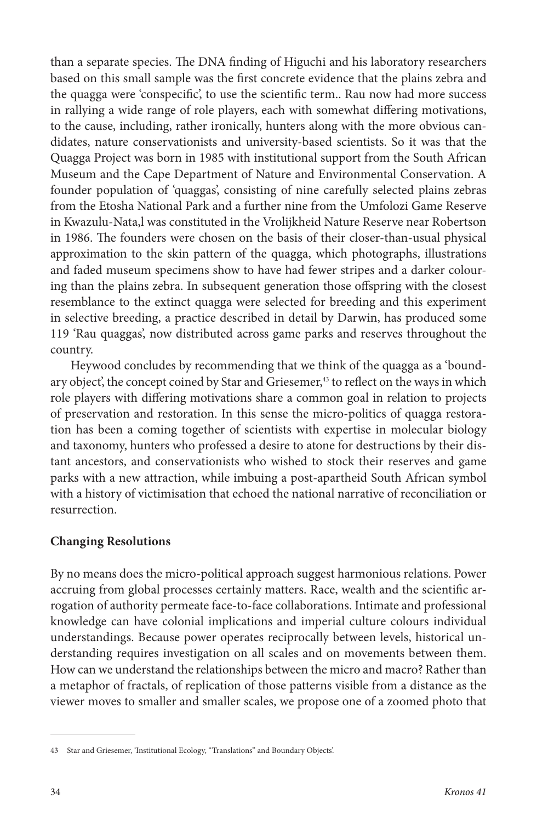than a separate species. The DNA finding of Higuchi and his laboratory researchers based on this small sample was the first concrete evidence that the plains zebra and the quagga were 'conspecific', to use the scientific term.. Rau now had more success in rallying a wide range of role players, each with somewhat differing motivations, to the cause, including, rather ironically, hunters along with the more obvious candidates, nature conservationists and university-based scientists. So it was that the Quagga Project was born in 1985 with institutional support from the South African Museum and the Cape Department of Nature and Environmental Conservation. A founder population of 'quaggas', consisting of nine carefully selected plains zebras from the Etosha National Park and a further nine from the Umfolozi Game Reserve in Kwazulu-Nata,l was constituted in the Vrolijkheid Nature Reserve near Robertson in 1986. The founders were chosen on the basis of their closer-than-usual physical approximation to the skin pattern of the quagga, which photographs, illustrations and faded museum specimens show to have had fewer stripes and a darker colouring than the plains zebra. In subsequent generation those offspring with the closest resemblance to the extinct quagga were selected for breeding and this experiment in selective breeding, a practice described in detail by Darwin, has produced some 119 'Rau quaggas', now distributed across game parks and reserves throughout the country.

Heywood concludes by recommending that we think of the quagga as a 'boundary object', the concept coined by Star and Griesemer,<sup>43</sup> to reflect on the ways in which role players with differing motivations share a common goal in relation to projects of preservation and restoration. In this sense the micro-politics of quagga restoration has been a coming together of scientists with expertise in molecular biology and taxonomy, hunters who professed a desire to atone for destructions by their distant ancestors, and conservationists who wished to stock their reserves and game parks with a new attraction, while imbuing a post-apartheid South African symbol with a history of victimisation that echoed the national narrative of reconciliation or resurrection.

### **Changing Resolutions**

By no means does the micro-political approach suggest harmonious relations. Power accruing from global processes certainly matters. Race, wealth and the scientific arrogation of authority permeate face-to-face collaborations. Intimate and professional knowledge can have colonial implications and imperial culture colours individual understandings. Because power operates reciprocally between levels, historical understanding requires investigation on all scales and on movements between them. How can we understand the relationships between the micro and macro? Rather than a metaphor of fractals, of replication of those patterns visible from a distance as the viewer moves to smaller and smaller scales, we propose one of a zoomed photo that

<sup>43</sup> Star and Griesemer, 'Institutional Ecology, "Translations" and Boundary Objects'.